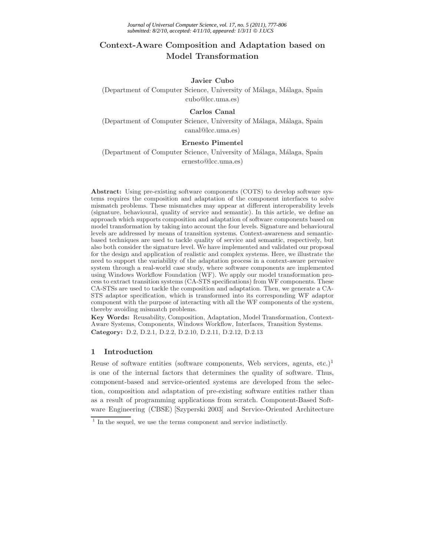# **Context-Aware Composition and Adaptation based on Model Transformation**

# **Javier Cubo**

(Department of Computer Science, University of Málaga, Málaga, Spain cubo@lcc.uma.es)

## **Carlos Canal**

(Department of Computer Science, University of Málaga, Málaga, Spain canal@lcc.uma.es)

# **Ernesto Pimentel**

(Department of Computer Science, University of Málaga, Málaga, Spain ernesto@lcc.uma.es)

**Abstract:** Using pre-existing software components (COTS) to develop software systems requires the composition and adaptation of the component interfaces to solve mismatch problems. These mismatches may appear at different interoperability levels (signature, behavioural, quality of service and semantic). In this article, we define an approach which supports composition and adaptation of software components based on model transformation by taking into account the four levels. Signature and behavioural levels are addressed by means of transition systems. Context-awareness and semanticbased techniques are used to tackle quality of service and semantic, respectively, but also both consider the signature level. We have implemented and validated our proposal for the design and application of realistic and complex systems. Here, we illustrate the need to support the variability of the adaptation process in a context-aware pervasive system through a real-world case study, where software components are implemented using Windows Workflow Foundation (WF). We apply our model transformation process to extract transition systems (CA-STS specifications) from WF components. These CA-STSs are used to tackle the composition and adaptation. Then, we generate a CA-STS adaptor specification, which is transformed into its corresponding WF adaptor component with the purpose of interacting with all the WF components of the system, thereby avoiding mismatch problems.

**Key Words:** Reusability, Composition, Adaptation, Model Transformation, Context-Aware Systems, Components, Windows Workflow, Interfaces, Transition Systems. **Category:** D.2, D.2.1, D.2.2, D.2.10, D.2.11, D.2.12, D.2.13

# **1 Introduction**

Reuse of software entities (software components, Web services, agents, etc.)<sup>1</sup> is one of the internal factors that determines the quality of software. Thus, component-based and service-oriented systems are developed from the selection, composition and adaptation of pre-existing software entities rather than as a result of programming applications from scratch. Component-Based Software Engineering (CBSE) [Szyperski 2003] and Service-Oriented Architecture

 $1$  In the sequel, we use the terms component and service indistinctly.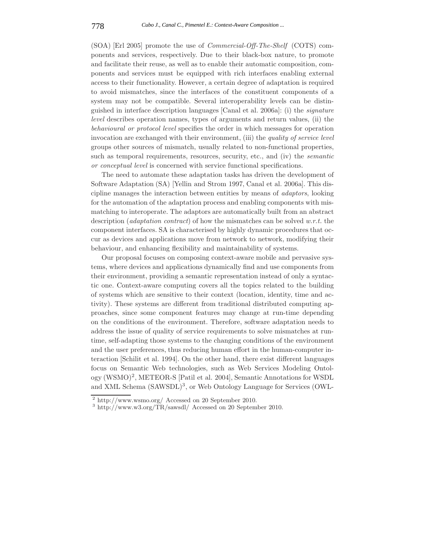(SOA) [Erl 2005] promote the use of *Commercial-Off-The-Shelf* (COTS) components and services, respectively. Due to their black-box nature, to promote and facilitate their reuse, as well as to enable their automatic composition, components and services must be equipped with rich interfaces enabling external access to their functionality. However, a certain degree of adaptation is required to avoid mismatches, since the interfaces of the constituent components of a system may not be compatible. Several interoperability levels can be distinguished in interface description languages [Canal et al. 2006a]: (i) the *signature level* describes operation names, types of arguments and return values, (ii) the *behavioural or protocol level* specifies the order in which messages for operation invocation are exchanged with their environment, (iii) the *quality of service level* groups other sources of mismatch, usually related to non-functional properties, such as temporal requirements, resources, security, etc., and (iv) the *semantic or conceptual level* is concerned with service functional specifications.

The need to automate these adaptation tasks has driven the development of Software Adaptation (SA) [Yellin and Strom 1997, Canal et al. 2006a]. This discipline manages the interaction between entities by means of *adaptors*, looking for the automation of the adaptation process and enabling components with mismatching to interoperate. The adaptors are automatically built from an abstract description (*adaptation contract*) of how the mismatches can be solved *w.r.t.* the component interfaces. SA is characterised by highly dynamic procedures that occur as devices and applications move from network to network, modifying their behaviour, and enhancing flexibility and maintainability of systems.

Our proposal focuses on composing context-aware mobile and pervasive systems, where devices and applications dynamically find and use components from their environment, providing a semantic representation instead of only a syntactic one. Context-aware computing covers all the topics related to the building of systems which are sensitive to their context (location, identity, time and activity). These systems are different from traditional distributed computing approaches, since some component features may change at run-time depending on the conditions of the environment. Therefore, software adaptation needs to address the issue of quality of service requirements to solve mismatches at runtime, self-adapting those systems to the changing conditions of the environment and the user preferences, thus reducing human effort in the human-computer interaction [Schilit et al. 1994]. On the other hand, there exist different languages focus on Semantic Web technologies, such as Web Services Modeling Ontology (WSMO)<sup>2</sup>, METEOR-S [Patil et al. 2004], Semantic Annotations for WSDL and XML Schema (SAWSDL)<sup>3</sup>, or Web Ontology Language for Services (OWL-

<sup>2</sup> http://www.wsmo.org/ Accessed on 20 September 2010. <sup>3</sup> http://www.w3.org/TR/sawsdl/ Accessed on 20 September 2010.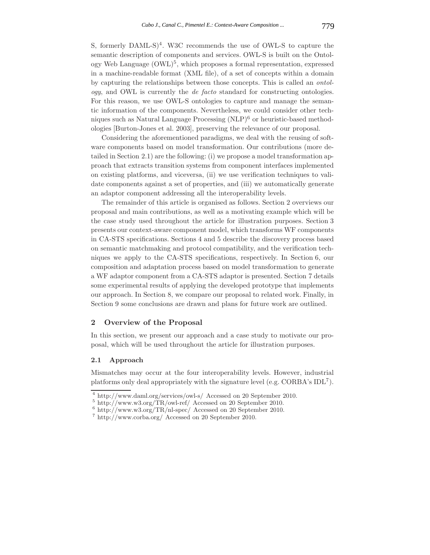S, formerly DAML-S)<sup>4</sup>. W3C recommends the use of OWL-S to capture the semantic description of components and services. OWL-S is built on the Ontology Web Language  $(OWL)^5$ , which proposes a formal representation, expressed in a machine-readable format (XML file), of a set of concepts within a domain by capturing the relationships between those concepts. This is called an *ontology*, and OWL is currently the *de facto* standard for constructing ontologies. For this reason, we use OWL-S ontologies to capture and manage the semantic information of the components. Nevertheless, we could consider other techniques such as Natural Language Processing  $(NLP)^6$  or heuristic-based methodologies [Burton-Jones et al. 2003], preserving the relevance of our proposal.

Considering the aforementioned paradigms, we deal with the reusing of software components based on model transformation. Our contributions (more detailed in Section 2.1) are the following: (i) we propose a model transformation approach that extracts transition systems from component interfaces implemented on existing platforms, and viceversa, (ii) we use verification techniques to validate components against a set of properties, and (iii) we automatically generate an adaptor component addressing all the interoperability levels.

The remainder of this article is organised as follows. Section 2 overviews our proposal and main contributions, as well as a motivating example which will be the case study used throughout the article for illustration purposes. Section 3 presents our context-aware component model, which transforms WF components in CA-STS specifications. Sections 4 and 5 describe the discovery process based on semantic matchmaking and protocol compatibility, and the verification techniques we apply to the CA-STS specifications, respectively. In Section 6, our composition and adaptation process based on model transformation to generate a WF adaptor component from a CA-STS adaptor is presented. Section 7 details some experimental results of applying the developed prototype that implements our approach. In Section 8, we compare our proposal to related work. Finally, in Section 9 some conclusions are drawn and plans for future work are outlined.

#### **2 Overview of the Proposal**

In this section, we present our approach and a case study to motivate our proposal, which will be used throughout the article for illustration purposes.

#### **2.1 Approach**

Mismatches may occur at the four interoperability levels. However, industrial platforms only deal appropriately with the signature level (e.g.  $CORBA$ 's  $IDL<sup>7</sup>$ ).

 $^4$ http://www.daml.org/services/owl-s/<br/> $\,$  Accessed on 20 September 2010. $^5$ http://www.w3.org/TR/nl-spec<br/>/ Accessed on 20 September 2010. $^6$ http://www.w3.org/TR/nl-spec<br/>/ Accessed on 20 September 2010.

 $^7$ http://www.corba.org/ Accessed on 20 September 2010.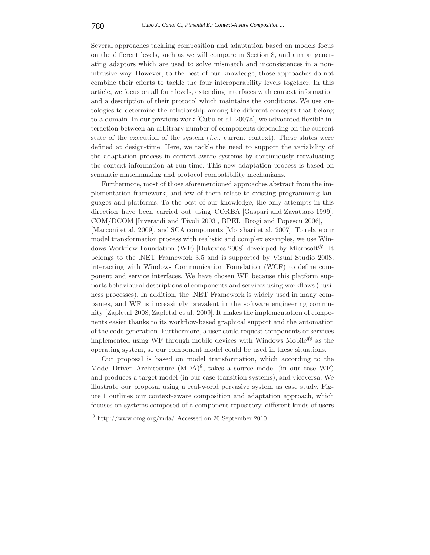Several approaches tackling composition and adaptation based on models focus on the different levels, such as we will compare in Section 8, and aim at generating adaptors which are used to solve mismatch and inconsistences in a nonintrusive way. However, to the best of our knowledge, those approaches do not combine their efforts to tackle the four interoperability levels together. In this article, we focus on all four levels, extending interfaces with context information and a description of their protocol which maintains the conditions. We use ontologies to determine the relationship among the different concepts that belong to a domain. In our previous work [Cubo et al. 2007a], we advocated flexible interaction between an arbitrary number of components depending on the current state of the execution of the system (*i.e.*, current context). These states were defined at design-time. Here, we tackle the need to support the variability of the adaptation process in context-aware systems by continuously reevaluating the context information at run-time. This new adaptation process is based on semantic matchmaking and protocol compatibility mechanisms.

Furthermore, most of those aforementioned approaches abstract from the implementation framework, and few of them relate to existing programming languages and platforms. To the best of our knowledge, the only attempts in this direction have been carried out using CORBA [Gaspari and Zavattaro 1999], COM/DCOM [Inverardi and Tivoli 2003], BPEL [Brogi and Popescu 2006], [Marconi et al. 2009], and SCA components [Motahari et al. 2007]. To relate our model transformation process with realistic and complex examples, we use Windows Workflow Foundation (WF) [Bukovics 2008] developed by Microsoft<sup>®</sup>. It belongs to the .NET Framework 3.5 and is supported by Visual Studio 2008, interacting with Windows Communication Foundation (WCF) to define component and service interfaces. We have chosen WF because this platform supports behavioural descriptions of components and services using workflows (business processes). In addition, the .NET Framework is widely used in many companies, and WF is increasingly prevalent in the software engineering community [Zapletal 2008, Zapletal et al. 2009]. It makes the implementation of components easier thanks to its workflow-based graphical support and the automation of the code generation. Furthermore, a user could request components or services implemented using WF through mobile devices with Windows Mobile<sup>®</sup> as the operating system, so our component model could be used in these situations.

Our proposal is based on model transformation, which according to the Model-Driven Architecture  $(MDA)^8$ , takes a source model (in our case WF) and produces a target model (in our case transition systems), and viceversa. We illustrate our proposal using a real-world pervasive system as case study. Figure 1 outlines our context-aware composition and adaptation approach, which focuses on systems composed of a component repository, different kinds of users

<sup>8</sup> http://www.omg.org/mda/ Accessed on 20 September 2010.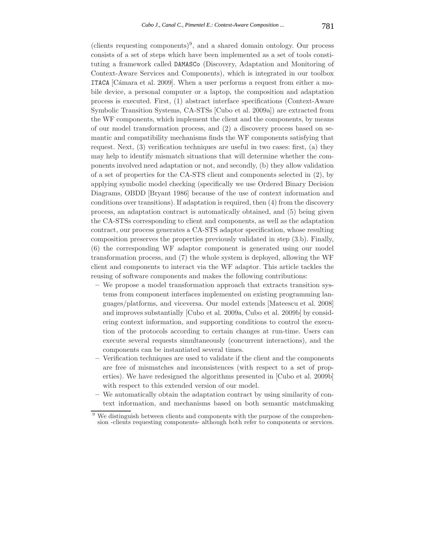(clients requesting components)<sup>9</sup>, and a shared domain ontology. Our process consists of a set of steps which have been implemented as a set of tools constituting a framework called DAMASCo (Discovery, Adaptation and Monitoring of Context-Aware Services and Components), which is integrated in our toolbox **ITACA** [Cámara et al. 2009]. When a user performs a request from either a mobile device, a personal computer or a laptop, the composition and adaptation process is executed. First, (1) abstract interface specifications (Context-Aware Symbolic Transition Systems, CA-STSs [Cubo et al. 2009a]) are extracted from the WF components, which implement the client and the components, by means of our model transformation process, and (2) a discovery process based on semantic and compatibility mechanisms finds the WF components satisfying that request. Next, (3) verification techniques are useful in two cases: first, (a) they may help to identify mismatch situations that will determine whether the components involved need adaptation or not, and secondly, (b) they allow validation of a set of properties for the CA-STS client and components selected in (2), by applying symbolic model checking (specifically we use Ordered Binary Decision Diagrams, OBDD [Bryant 1986] because of the use of context information and conditions over transitions). If adaptation is required, then (4) from the discovery process, an adaptation contract is automatically obtained, and (5) being given the CA-STSs corresponding to client and components, as well as the adaptation contract, our process generates a CA-STS adaptor specification, whose resulting composition preserves the properties previously validated in step (3.b). Finally, (6) the corresponding WF adaptor component is generated using our model transformation process, and (7) the whole system is deployed, allowing the WF client and components to interact via the WF adaptor. This article tackles the reusing of software components and makes the following contributions:

- **–** We propose a model transformation approach that extracts transition systems from component interfaces implemented on existing programming languages/platforms, and viceversa. Our model extends [Mateescu et al. 2008] and improves substantially [Cubo et al. 2009a, Cubo et al. 2009b] by considering context information, and supporting conditions to control the execution of the protocols according to certain changes at run-time. Users can execute several requests simultaneously (concurrent interactions), and the components can be instantiated several times.
- **–** Verification techniques are used to validate if the client and the components are free of mismatches and inconsistences (with respect to a set of properties). We have redesigned the algorithms presented in [Cubo et al. 2009b] with respect to this extended version of our model.
- **–** We automatically obtain the adaptation contract by using similarity of context information, and mechanisms based on both semantic matchmaking

We distinguish between clients and components with the purpose of the comprehension -clients requesting components- although both refer to components or services.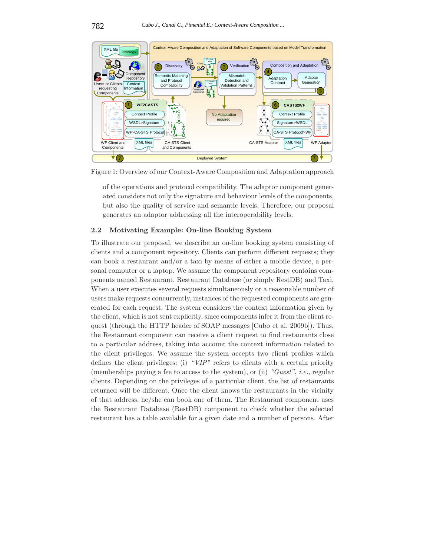

Figure 1: Overview of our Context-Aware Composition and Adaptation approach

of the operations and protocol compatibility. The adaptor component generated considers not only the signature and behaviour levels of the components, but also the quality of service and semantic levels. Therefore, our proposal generates an adaptor addressing all the interoperability levels.

# **2.2 Motivating Example: On-line Booking System**

To illustrate our proposal, we describe an on-line booking system consisting of clients and a component repository. Clients can perform different requests; they can book a restaurant and/or a taxi by means of either a mobile device, a personal computer or a laptop. We assume the component repository contains components named Restaurant, Restaurant Database (or simply RestDB) and Taxi. When a user executes several requests simultaneously or a reasonable number of users make requests concurrently, instances of the requested components are generated for each request. The system considers the context information given by the client, which is not sent explicitly, since components infer it from the client request (through the HTTP header of SOAP messages [Cubo et al. 2009b]). Thus, the Restaurant component can receive a client request to find restaurants close to a particular address, taking into account the context information related to the client privileges. We assume the system accepts two client profiles which defines the client privileges: (i) *"VIP"* refers to clients with a certain priority (memberships paying a fee to access to the system), or (ii) *"Guest"*, *i.e.*, regular clients. Depending on the privileges of a particular client, the list of restaurants returned will be different. Once the client knows the restaurants in the vicinity of that address, he/she can book one of them. The Restaurant component uses the Restaurant Database (RestDB) component to check whether the selected restaurant has a table available for a given date and a number of persons. After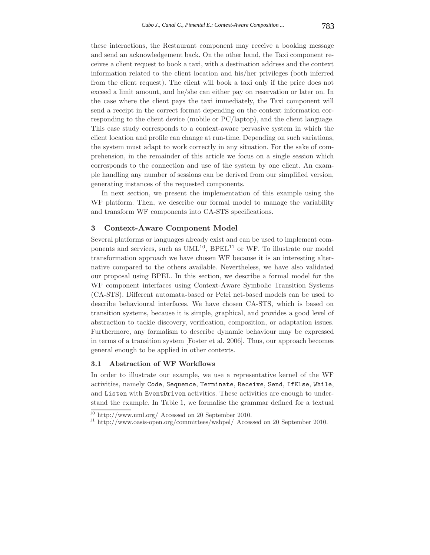these interactions, the Restaurant component may receive a booking message and send an acknowledgement back. On the other hand, the Taxi component receives a client request to book a taxi, with a destination address and the context information related to the client location and his/her privileges (both inferred from the client request). The client will book a taxi only if the price does not exceed a limit amount, and he/she can either pay on reservation or later on. In the case where the client pays the taxi immediately, the Taxi component will send a receipt in the correct format depending on the context information corresponding to the client device (mobile or PC/laptop), and the client language. This case study corresponds to a context-aware pervasive system in which the client location and profile can change at run-time. Depending on such variations, the system must adapt to work correctly in any situation. For the sake of comprehension, in the remainder of this article we focus on a single session which corresponds to the connection and use of the system by one client. An example handling any number of sessions can be derived from our simplified version, generating instances of the requested components.

In next section, we present the implementation of this example using the WF platform. Then, we describe our formal model to manage the variability and transform WF components into CA-STS specifications.

#### **3 Context-Aware Component Model**

Several platforms or languages already exist and can be used to implement components and services, such as  $UML^{10}$ , BPEL<sup>11</sup> or WF. To illustrate our model transformation approach we have chosen WF because it is an interesting alternative compared to the others available. Nevertheless, we have also validated our proposal using BPEL. In this section, we describe a formal model for the WF component interfaces using Context-Aware Symbolic Transition Systems (CA-STS). Different automata-based or Petri net-based models can be used to describe behavioural interfaces. We have chosen CA-STS, which is based on transition systems, because it is simple, graphical, and provides a good level of abstraction to tackle discovery, verification, composition, or adaptation issues. Furthermore, any formalism to describe dynamic behaviour may be expressed in terms of a transition system [Foster et al. 2006]. Thus, our approach becomes general enough to be applied in other contexts.

#### **3.1 Abstraction of WF Workflows**

In order to illustrate our example, we use a representative kernel of the WF activities, namely Code, Sequence, Terminate, Receive, Send, IfElse, While, and Listen with EventDriven activities. These activities are enough to understand the example. In Table 1, we formalise the grammar defined for a textual

 $\frac{10}{10}$  http://www.uml.org/ Accessed on 20 September 2010.<br><sup>11</sup> http://www.oasis-open.org/committees/wsbpel/ Accessed on 20 September 2010.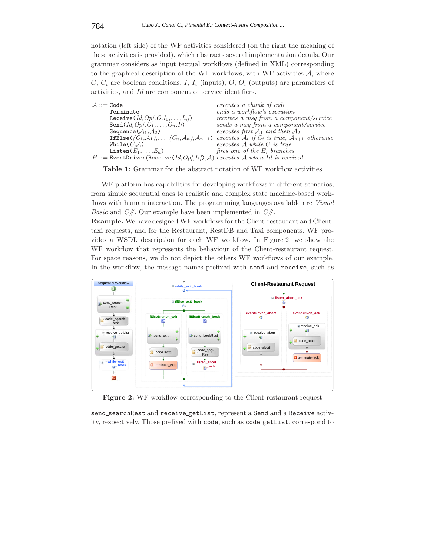notation (left side) of the WF activities considered (on the right the meaning of these activities is provided), which abstracts several implementation details. Our grammar considers as input textual workflows (defined in XML) corresponding to the graphical description of the WF workflows, with WF activities  $A$ , where C, C*<sup>i</sup>* are boolean conditions, I, I*<sup>i</sup>* (inputs), O, O*<sup>i</sup>* (outputs) are parameters of activities, and Id are component or service identifiers.

|  | $A ::=$ Code                                                                             | executes a chunk of code                             |
|--|------------------------------------------------------------------------------------------|------------------------------------------------------|
|  | Terminate                                                                                | ends a workflow's execution                          |
|  | Receive $(Id, Op, O, I_1, \ldots, I_n)$                                                  | receives a msg from a component/service              |
|  | Send $(Id, Op, O_1, \ldots, O_n, I)$                                                     | sends a msq from a component/service                 |
|  | Sequence $(\mathcal{A}_1, \mathcal{A}_2)$                                                | executes first $A_1$ and then $A_2$                  |
|  | If Else $((C_1,\mathcal{A}_1),\ldots,(C_n,\mathcal{A}_n),\mathcal{A}_{n+1})$             | executes $A_i$ if $C_i$ is true, $A_{n+1}$ otherwise |
|  | While $(C.A)$                                                                            | $executes \; A \; while \; C \; is \; true$          |
|  | Listen $(E_1,\ldots,E_n)$                                                                | fires one of the $E_i$ branches                      |
|  | $E ::=$ EventDriven(Receive(Id, Op/, I <sub>i</sub> ), A) executes A when Id is received |                                                      |
|  |                                                                                          |                                                      |

**Table 1:** Grammar for the abstract notation of WF workflow activities

WF platform has capabilities for developing workflows in different scenarios, from simple sequential ones to realistic and complex state machine-based workflows with human interaction. The programming languages available are *Visual Basic* and *C#*. Our example have been implemented in *C#*.

**Example.** We have designed WF workflows for the Client-restaurant and Clienttaxi requests, and for the Restaurant, RestDB and Taxi components. WF provides a WSDL description for each WF workflow. In Figure 2, we show the WF workflow that represents the behaviour of the Client-restaurant request. For space reasons, we do not depict the others WF workflows of our example. In the workflow, the message names prefixed with send and receive, such as



**Figure 2:** WF workflow corresponding to the Client-restaurant request

send searchRest and receive getList, represent a Send and a Receive activity, respectively. Those prefixed with code, such as code getList, correspond to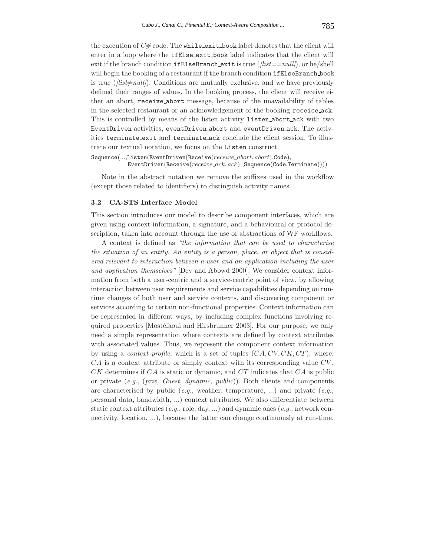the execution of *C#* code. The while exit book label denotes that the client will enter in a loop where the ifElse exit book label indicates that the client will exit if the branch condition ifElseBranch exit is true (*[list==null]*), or he/shell will begin the booking of a restaurant if the branch condition ifElseBranch book is true  $(\textit{list} \neq \textit{null})$ . Conditions are mutually exclusive, and we have previously defined their ranges of values. In the booking process, the client will receive either an abort, receive abort message, because of the unavailability of tables in the selected restaurant or an acknowledgement of the booking receice ack. This is controlled by means of the listen activity listen abort ack with two EventDriven activities, eventDriven abort and eventDriven ack. The activities terminate exit and terminate ack conclude the client session. To illustrate our textual notation, we focus on the Listen construct.

```
Sequence(...,Listen(EventDriven(Receive(receive abort, abort),Code),
EventDriven(Receive(receive ack, ack) ,Sequence(Code,Terminate))))
```
Note in the abstract notation we remove the suffixes used in the workflow (except those related to identifiers) to distinguish activity names.

#### **3.2 CA-STS Interface Model**

This section introduces our model to describe component interfaces, which are given using context information, a signature, and a behavioural or protocol description, taken into account through the use of abstractions of WF workflows.

A context is defined as *"the information that can be used to characterise the situation of an entity. An entity is a person, place, or object that is considered relevant to interaction between a user and an application including the user and application themselves"* [Dey and Abowd 2000]. We consider context information from both a user-centric and a service-centric point of view, by allowing interaction between user requirements and service capabilities depending on runtime changes of both user and service contexts, and discovering component or services according to certain non-functional properties. Context information can be represented in different ways, by including complex functions involving required properties [Mostéfaoui and Hirsbrunner 2003]. For our purpose, we only need a simple representation where contexts are defined by context attributes with associated values. Thus, we represent the component context information by using a *context profile*, which is a set of tuples (CA, CV, CK, CT ), where:  $CA$  is a context attribute or simply context with its corresponding value  $CV$ ,  $CK$  determines if  $CA$  is static or dynamic, and  $CT$  indicates that  $CA$  is public or private (*e.g.*, (*priv, Guest, dynamic, public*)). Both clients and components are characterised by public (*e.g.*, weather, temperature, ...) and private (*e.g.*, personal data, bandwidth, ...) context attributes. We also differentiate between static context attributes (*e.g.*, role, day, ...) and dynamic ones (*e.g.*, network connectivity, location, ...), because the latter can change continuously at run-time,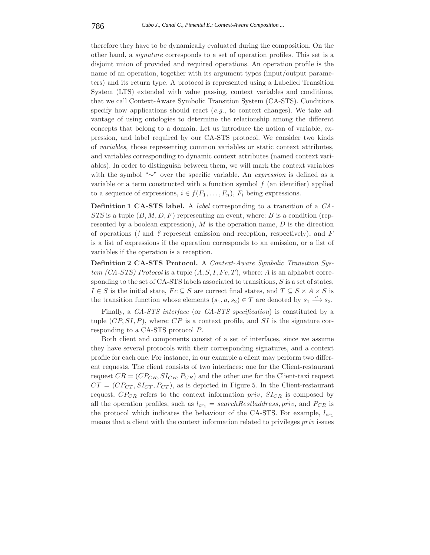therefore they have to be dynamically evaluated during the composition. On the other hand, a *signature* corresponds to a set of operation profiles. This set is a disjoint union of provided and required operations. An operation profile is the name of an operation, together with its argument types (input/output parameters) and its return type. A protocol is represented using a Labelled Transition System (LTS) extended with value passing, context variables and conditions, that we call Context-Aware Symbolic Transition System (CA-STS). Conditions specify how applications should react (*e.g.*, to context changes). We take advantage of using ontologies to determine the relationship among the different concepts that belong to a domain. Let us introduce the notion of variable, expression, and label required by our CA-STS protocol. We consider two kinds of *variables*, those representing common variables or static context attributes, and variables corresponding to dynamic context attributes (named context variables). In order to distinguish between them, we will mark the context variables with the symbol "∼" over the specific variable. An *expression* is defined as a variable or a term constructed with a function symbol  $f$  (an identifier) applied to a sequence of expressions,  $i \in f(F_1, \ldots, F_n)$ ,  $F_i$  being expressions.

**Definition 1 CA-STS label.** A *label* corresponding to a transition of a *CA-STS* is a tuple  $(B, M, D, F)$  representing an event, where: *B* is a condition (represented by a boolean expression),  $M$  is the operation name,  $D$  is the direction of operations (*!* and *?* represent emission and reception, respectively), and F is a list of expressions if the operation corresponds to an emission, or a list of variables if the operation is a reception.

**Definition 2 CA-STS Protocol.** A *Context-Aware Symbolic Transition System (CA-STS) Protocol* is a tuple  $(A, S, I, Fc, T)$ , where: A is an alphabet corresponding to the set of CA-STS labels associated to transitions,  $S$  is a set of states,  $I \in S$  is the initial state,  $Fc \subseteq S$  are correct final states, and  $T \subseteq S \times A \times S$  is the transition function whose elements  $(s_1, a, s_2) \in T$  are denoted by  $s_1 \stackrel{a}{\longrightarrow} s_2$ .

Finally, a *CA-STS interface* (or *CA-STS specification*) is constituted by a tuple  $(CP, SI, P)$ , where:  $CP$  is a context profile, and SI is the signature corresponding to a CA-STS protocol P.

Both client and components consist of a set of interfaces, since we assume they have several protocols with their corresponding signatures, and a context profile for each one. For instance, in our example a client may perform two different requests. The client consists of two interfaces: one for the Client-restaurant request  $CR = (CP_{CR}, SL_{CR}, P_{CR})$  and the other one for the Client-taxi request  $CT = (CP_{CT}, SL_{CT}, P_{CT})$ , as is depicted in Figure 5. In the Client-restaurant request,  $CP_{CR}$  refers to the context information *priv*,  $SL_{CR}$  is composed by all the operation profiles, such as  $l_{cr1} = searchRestladress, \tilde{priv}$ , and  $P_{CR}$  is the protocol which indicates the behaviour of the CA-STS. For example,  $l_{cr1}$ means that a client with the context information related to privileges priv issues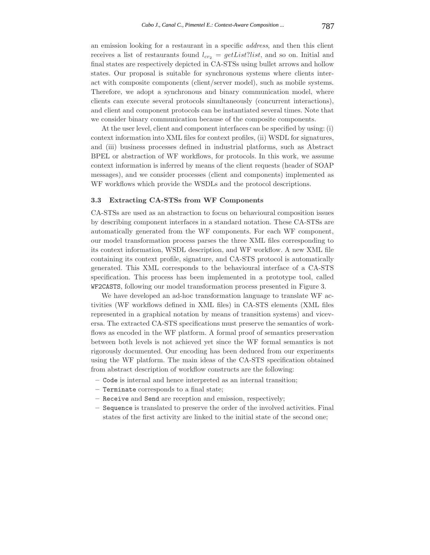an emission looking for a restaurant in a specific *address*, and then this client receives a list of restaurants found  $l_{cr2} = getList?list$ , and so on. Initial and final states are respectively depicted in CA-STSs using bullet arrows and hollow states. Our proposal is suitable for synchronous systems where clients interact with composite components (client/server model), such as mobile systems. Therefore, we adopt a synchronous and binary communication model, where clients can execute several protocols simultaneously (concurrent interactions), and client and component protocols can be instantiated several times. Note that we consider binary communication because of the composite components.

At the user level, client and component interfaces can be specified by using: (i) context information into XML files for context profiles, (ii) WSDL for signatures, and (iii) business processes defined in industrial platforms, such as Abstract BPEL or abstraction of WF workflows, for protocols. In this work, we assume context information is inferred by means of the client requests (header of SOAP messages), and we consider processes (client and components) implemented as WF workflows which provide the WSDLs and the protocol descriptions.

#### **3.3 Extracting CA-STSs from WF Components**

CA-STSs are used as an abstraction to focus on behavioural composition issues by describing component interfaces in a standard notation. These CA-STSs are automatically generated from the WF components. For each WF component, our model transformation process parses the three XML files corresponding to its context information, WSDL description, and WF workflow. A new XML file containing its context profile, signature, and CA-STS protocol is automatically generated. This XML corresponds to the behavioural interface of a CA-STS specification. This process has been implemented in a prototype tool, called WF2CASTS, following our model transformation process presented in Figure 3.

We have developed an ad-hoc transformation language to translate WF activities (WF workflows defined in XML files) in CA-STS elements (XML files represented in a graphical notation by means of transition systems) and viceversa. The extracted CA-STS specifications must preserve the semantics of workflows as encoded in the WF platform. A formal proof of semantics preservation between both levels is not achieved yet since the WF formal semantics is not rigorously documented. Our encoding has been deduced from our experiments using the WF platform. The main ideas of the CA-STS specification obtained from abstract description of workflow constructs are the following:

- **–** Code is internal and hence interpreted as an internal transition;
- **–** Terminate corresponds to a final state;
- **–** Receive and Send are reception and emission, respectively;
- **–** Sequence is translated to preserve the order of the involved activities. Final states of the first activity are linked to the initial state of the second one;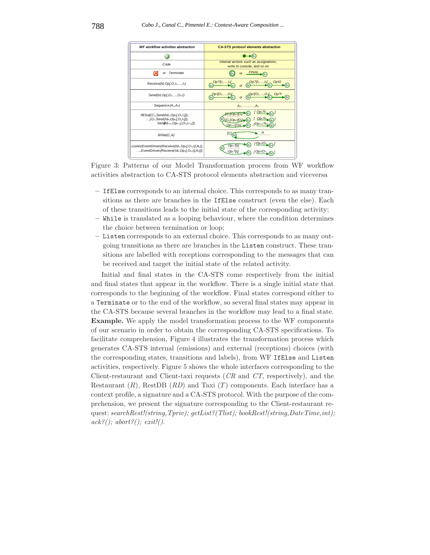

Figure 3: Patterns of our Model Transformation process from WF workflow activities abstraction to CA-STS protocol elements abstraction and viceversa

- **–** IfElse corresponds to an internal choice. This corresponds to as many transitions as there are branches in the IfElse construct (even the else). Each of these transitions leads to the initial state of the corresponding activity;
- **–** While is translated as a looping behaviour, where the condition determines the choice between termination or loop;
- **–** Listen corresponds to an external choice. This corresponds to as many outgoing transitions as there are branches in the Listen construct. These transitions are labelled with receptions corresponding to the messages that can be received and target the initial state of the related activity.

Initial and final states in the CA-STS come respectively from the initial and final states that appear in the workflow. There is a single initial state that corresponds to the beginning of the workflow. Final states correspond either to a Terminate or to the end of the workflow, so several final states may appear in the CA-STS because several branches in the workflow may lead to a final state. **Example.** We apply the model transformation process to the WF components of our scenario in order to obtain the corresponding CA-STS specifications. To facilitate comprehension, Figure 4 illustrates the transformation process which generates CA-STS internal (emissions) and external (receptions) choices (with the corresponding states, transitions and labels), from WF IfElse and Listen activities, respectively. Figure 5 shows the whole interfaces corresponding to the Client-restaurant and Client-taxi requests (*CR* and *CT*, respectively), and the Restaurant  $(R)$ , RestDB  $(RD)$  and Taxi  $(T)$  components. Each interface has a context profile, a signature and a CA-STS protocol. With the purpose of the comprehension, we present the signature corresponding to the Client-restaurant request: *searchRest!(string,Tpriv); getList?(Tlist); bookRest!(string,DateTime,int); ack?(); abort?(); exit!()*.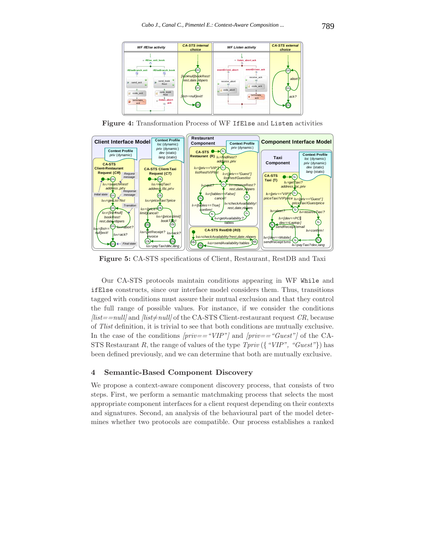

**Figure 4:** Transformation Process of WF IfElse and Listen activities



**Figure 5:** CA-STS specifications of Client, Restaurant, RestDB and Taxi

Our CA-STS protocols maintain conditions appearing in WF While and ifElse constructs, since our interface model considers them. Thus, transitions tagged with conditions must assure their mutual exclusion and that they control the full range of possible values. For instance, if we consider the conditions  $[list = null]$  and  $[list \neq null]$  of the CA-STS Client-restaurant request *CR*, because of *Tlist* definition, it is trivial to see that both conditions are mutually exclusive. In the case of the conditions *[priv=="VIP"]* and *[priv=="Guest"]* of the CA-STS Restaurant R, the range of values of the type *Tpriv* ({*"VIP", "Guest"*}) has been defined previously, and we can determine that both are mutually exclusive.

## **4 Semantic-Based Component Discovery**

We propose a context-aware component discovery process, that consists of two steps. First, we perform a semantic matchmaking process that selects the most appropriate component interfaces for a client request depending on their contexts and signatures. Second, an analysis of the behavioural part of the model determines whether two protocols are compatible. Our process establishes a ranked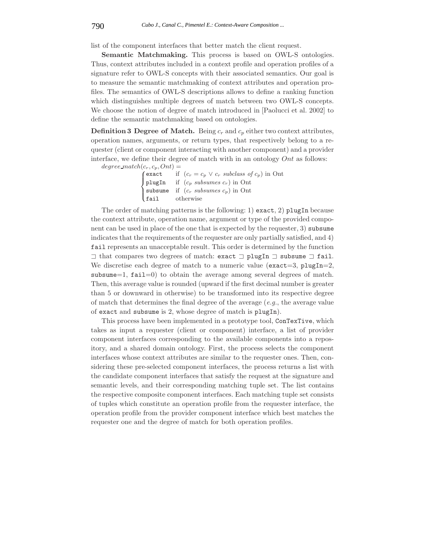list of the component interfaces that better match the client request.

**Semantic Matchmaking.** This process is based on OWL-S ontologies. Thus, context attributes included in a context profile and operation profiles of a signature refer to OWL-S concepts with their associated semantics. Our goal is to measure the semantic matchmaking of context attributes and operation profiles. The semantics of OWL-S descriptions allows to define a ranking function which distinguishes multiple degrees of match between two OWL-S concepts. We choose the notion of degree of match introduced in [Paolucci et al. 2002] to define the semantic matchmaking based on ontologies.

**Definition 3 Degree of Match.** Being  $c_r$  and  $c_p$  either two context attributes, operation names, arguments, or return types, that respectively belong to a requester (client or component interacting with another component) and a provider interface, we define their degree of match with in an ontology Ont as follows:

 $degree\_match(c_r, c_p, Ont) =$ 

|  | (exact if $(c_r = c_p \vee c_r \text{ subclass of } c_p)$ in Ont |
|--|------------------------------------------------------------------|
|  | plugIn if $(c_p \text{ subsumes } c_r)$ in Ont                   |
|  | subsume if $(c_r \text{ subsumes } c_p)$ in Ont                  |
|  | $\int$ fail otherwise                                            |

The order of matching patterns is the following: 1) exact, 2) plugIn because the context attribute, operation name, argument or type of the provided component can be used in place of the one that is expected by the requester, 3) subsume indicates that the requirements of the requester are only partially satisfied, and 4) fail represents an unacceptable result. This order is determined by the function  $\exists$  that compares two degrees of match: exact  $\exists$  plugIn  $\exists$  subsume  $\exists$  fail. We discretise each degree of match to a numeric value (exact=3, plugIn=2, subsume=1,  $fail=0$ ) to obtain the average among several degrees of match. Then, this average value is rounded (upward if the first decimal number is greater than 5 or downward in otherwise) to be transformed into its respective degree of match that determines the final degree of the average (*e.g.*, the average value of exact and subsume is 2, whose degree of match is plugIn).

This process have been implemented in a prototype tool, ConTexTive, which takes as input a requester (client or component) interface, a list of provider component interfaces corresponding to the available components into a repository, and a shared domain ontology. First, the process selects the component interfaces whose context attributes are similar to the requester ones. Then, considering these pre-selected component interfaces, the process returns a list with the candidate component interfaces that satisfy the request at the signature and semantic levels, and their corresponding matching tuple set. The list contains the respective composite component interfaces. Each matching tuple set consists of tuples which constitute an operation profile from the requester interface, the operation profile from the provider component interface which best matches the requester one and the degree of match for both operation profiles.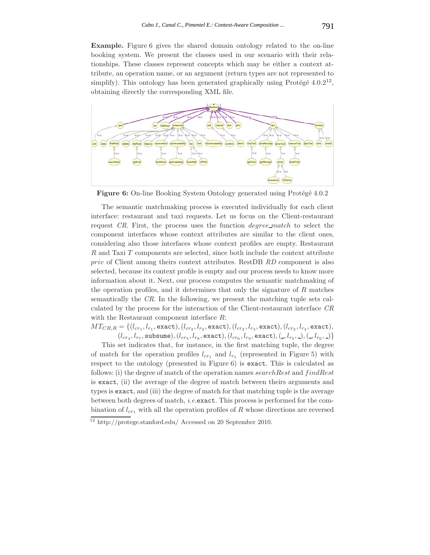**Example.** Figure 6 gives the shared domain ontology related to the on-line booking system. We present the classes used in our scenario with their relationships. These classes represent concepts which may be either a context attribute, an operation name, or an argument (return types are not represented to simplify). This ontology has been generated graphically using Protégé  $4.0.2^{12}$ , obtaining directly the corresponding XML file.



**Figure 6:** On-line Booking System Ontology generated using Protégé 4.0.2

The semantic matchmaking process is executed individually for each client interface: restaurant and taxi requests. Let us focus on the Client-restaurant request *CR*. First, the process uses the function degree match to select the component interfaces whose context attributes are similar to the client ones, considering also those interfaces whose context profiles are empty. Restaurant  $R$  and Taxi  $T$  components are selected, since both include the context attribute priv of Client among theirs context attributes. RestDB *RD* component is also selected, because its context profile is empty and our process needs to know more information about it. Next, our process computes the semantic matchmaking of the operation profiles, and it determines that only the signature of  $R$  matches semantically the *CR*. In the following, we present the matching tuple sets calculated by the process for the interaction of the Client-restaurant interface *CR* with the Restaurant component interface  $R$ :

 $MT_{CR,R} = \{(l_{cr_1}, l_{r_1}, \text{exact}), (l_{cr_2}, l_{r_2}, \text{exact}), (l_{cr_2}, l_{r_3}, \text{exact}), (l_{cr_3}, l_{r_4}, \text{exact}),$  $(l_{cr_4}, l_{r_7}, \text{subsum}), (l_{cr_5}, l_{r_8}, \text{exact}), (l_{cr_6}, l_{r_9}, \text{exact}), (-, l_{r_5}, -), (-, l_{r_6}, -) \}$ 

This set indicates that, for instance, in the first matching tuple, the degree of match for the operation profiles  $l_{cr_1}$  and  $l_{r_1}$  (represented in Figure 5) with respect to the ontology (presented in Figure 6) is exact. This is calculated as follows: (i) the degree of match of the operation names search Rest and find Rest is exact, (ii) the average of the degree of match between theirs arguments and types is exact, and (iii) the degree of match for that matching tuple is the average between both degrees of match, *i.e.*exact. This process is performed for the combination of  $l_{cr_1}$  with all the operation profiles of R whose directions are reversed

<sup>12</sup> http://protege.stanford.edu/ Accessed on 20 September 2010.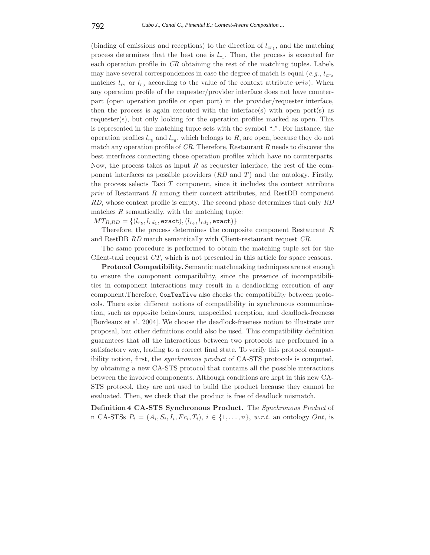(binding of emissions and receptions) to the direction of  $l_{cr1}$ , and the matching process determines that the best one is  $l_{r_1}$ . Then, the process is executed for each operation profile in *CR* obtaining the rest of the matching tuples. Labels may have several correspondences in case the degree of match is equal (*e.g.*,  $l_{cr_2}$ ) matches  $l_{r_2}$  or  $l_{r_3}$  according to the value of the context attribute priv). When any operation profile of the requester/provider interface does not have counterpart (open operation profile or open port) in the provider/requester interface, then the process is again executed with the interface(s) with open port(s) as requester(s), but only looking for the operation profiles marked as open. This is represented in the matching tuple sets with the symbol  $\frac{m}{n}$ . For instance, the operation profiles  $l_{r_5}$  and  $l_{r_6}$ , which belongs to R, are open, because they do not match any operation profile of *CR*. Therefore, Restaurant R needs to discover the best interfaces connecting those operation profiles which have no counterparts. Now, the process takes as input  $R$  as requester interface, the rest of the component interfaces as possible providers (*RD* and *T*) and the ontology. Firstly, the process selects Taxi  $T$  component, since it includes the context attribute  $priv$  of Restaurant  $R$  among their context attributes, and RestDB component *RD*, whose context profile is empty. The second phase determines that only *RD* matches  $R$  semantically, with the matching tuple:

 $MT_{R,RD} = \{(l_{r_5}, l_{rd_1}, \text{exact}), (l_{r_6}, l_{rd_2}, \text{exact})\}$ 

Therefore, the process determines the composite component Restaurant R and RestDB *RD* match semantically with Client-restaurant request *CR*.

The same procedure is performed to obtain the matching tuple set for the Client-taxi request *CT*, which is not presented in this article for space reasons.

**Protocol Compatibility.** Semantic matchmaking techniques are not enough to ensure the component compatibility, since the presence of incompatibilities in component interactions may result in a deadlocking execution of any component.Therefore, ConTexTive also checks the compatibility between protocols. There exist different notions of compatibility in synchronous communication, such as opposite behaviours, unspecified reception, and deadlock-freeness [Bordeaux et al. 2004]. We choose the deadlock-freeness notion to illustrate our proposal, but other definitions could also be used. This compatibility definition guarantees that all the interactions between two protocols are performed in a satisfactory way, leading to a correct final state. To verify this protocol compatibility notion, first, the *synchronous product* of CA-STS protocols is computed, by obtaining a new CA-STS protocol that contains all the possible interactions between the involved components. Although conditions are kept in this new CA-STS protocol, they are not used to build the product because they cannot be evaluated. Then, we check that the product is free of deadlock mismatch.

**Definition 4 CA-STS Synchronous Product.** The *Synchronous Product* of n CA-STSs  $P_i = (A_i, S_i, I_i, Fc_i, T_i), i \in \{1, \ldots, n\}, w.r.t.$  an ontology *Ont*, is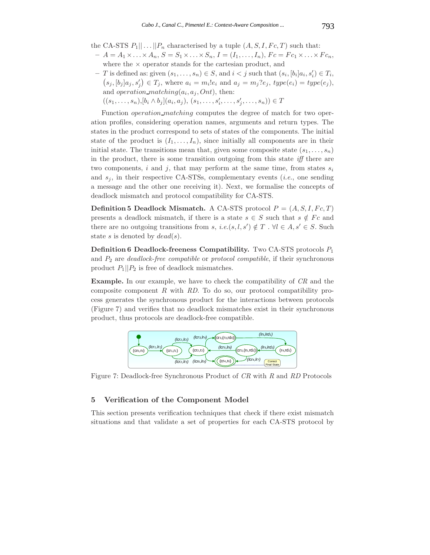- the CA-STS  $P_1|| \dots || P_n$  characterised by a tuple  $(A, S, I, Fc, T)$  such that:
- $A = A_1 \times \ldots \times A_n, S = S_1 \times \ldots \times S_n, I = (I_1, \ldots, I_n), Fc = Fc_1 \times \ldots \times Fc_n,$ where the  $\times$  operator stands for the cartesian product, and
- $− T$  is defined as: given  $(s_1, \ldots, s_n) \in S$ , and  $i < j$  such that  $(s_i, [b_i]a_i, s'_i) \in T_i$ ,  $(s_j, [b_j]a_j, s'_j) \in T_j$ , where  $a_i = m_i!e_i$  and  $a_j = m_j?e_j$ ,  $type(e_i) = type(e_j)$ , and *operation\_matching(* $a_i$ *,*  $a_j$ *, Ont)*, then:

 $((s_1, \ldots, s_n), [b_i \wedge b_j](a_i, a_j), (s_1, \ldots, s'_i, \ldots, s'_j, \ldots, s_n)) \in T$ 

Function *operation\_matching* computes the degree of match for two operation profiles, considering operation names, arguments and return types. The states in the product correspond to sets of states of the components. The initial state of the product is  $(I_1, \ldots, I_n)$ , since initially all components are in their initial state. The transitions mean that, given some composite state  $(s_1, \ldots, s_n)$ in the product, there is some transition outgoing from this state *iff* there are two components, i and j, that may perform at the same time, from states  $s_i$ and  $s_j$ , in their respective CA-STSs, complementary events (*i.e.*, one sending a message and the other one receiving it). Next, we formalise the concepts of deadlock mismatch and protocol compatibility for CA-STS.

**Definition 5 Deadlock Mismatch.** A CA-STS protocol  $P = (A, S, I, Fc, T)$ presents a deadlock mismatch, if there is a state  $s \in S$  such that  $s \notin F_c$  and there are no outgoing transitions from s, *i.e.*(s, l, s')  $\notin T$ .  $\forall l \in A$ , s'  $\in S$ . Such state s is denoted by  $dead(s)$ .

**Definition 6 Deadlock-freeness Compatibility.** Two CA-STS protocols P<sup>1</sup> and P<sup>2</sup> are *deadlock-free compatible* or *protocol compatible*, if their synchronous product  $P_1||P_2$  is free of deadlock mismatches.

**Example.** In our example, we have to check the compatibility of *CR* and the composite component R with *RD*. To do so, our protocol compatibility process generates the synchronous product for the interactions between protocols (Figure 7) and verifies that no deadlock mismatches exist in their synchronous product, thus protocols are deadlock-free compatible.



Figure 7: Deadlock-free Synchronous Product of *CR* with *R* and *RD* Protocols

# **5 Verification of the Component Model**

This section presents verification techniques that check if there exist mismatch situations and that validate a set of properties for each CA-STS protocol by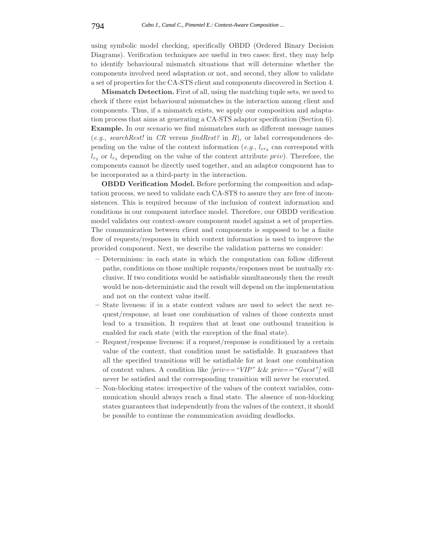using symbolic model checking, specifically OBDD (Ordered Binary Decision Diagrams). Verification techniques are useful in two cases: first, they may help to identify behavioural mismatch situations that will determine whether the components involved need adaptation or not, and second, they allow to validate a set of properties for the CA-STS client and components discovered in Section 4.

**Mismatch Detection.** First of all, using the matching tuple sets, we need to check if there exist behavioural mismatches in the interaction among client and components. Thus, if a mismatch exists, we apply our composition and adaptation process that aims at generating a CA-STS adaptor specification (Section 6). **Example.** In our scenario we find mismatches such as different message names (*e.g.*, *searchRest!* in *CR* versus *findRest?* in R), or label correspondences depending on the value of the context information (*e.g.*,  $l_{cr_2}$  can correspond with  $l_{r_2}$  or  $l_{r_3}$  depending on the value of the context attribute *priv*). Therefore, the components cannot be directly used together, and an adaptor component has to be incorporated as a third-party in the interaction.

**OBDD Verification Model.** Before performing the composition and adaptation process, we need to validate each CA-STS to assure they are free of inconsistences. This is required because of the inclusion of context information and conditions in our component interface model. Therefore, our OBDD verification model validates our context-aware component model against a set of properties. The communication between client and components is supposed to be a finite flow of requests/responses in which context information is used to improve the provided component. Next, we describe the validation patterns we consider:

- **–** Determinism: in each state in which the computation can follow different paths, conditions on those multiple requests/responses must be mutually exclusive. If two conditions would be satisfiable simultaneously then the result would be non-deterministic and the result will depend on the implementation and not on the context value itself.
- **–** State liveness: if in a state context values are used to select the next request/response, at least one combination of values of those contexts must lead to a transition. It requires that at least one outbound transition is enabled for each state (with the exception of the final state).
- **–** Request/response liveness: if a request/response is conditioned by a certain value of the context, that condition must be satisfiable. It guarantees that all the specified transitions will be satisfiable for at least one combination of context values. A condition like *[priv=="VIP"* && *priv=="Guest"]* will never be satisfied and the corresponding transition will never be executed.
- **–** Non-blocking states: irrespective of the values of the context variables, communication should always reach a final state. The absence of non-blocking states guarantees that independently from the values of the context, it should be possible to continue the communication avoiding deadlocks.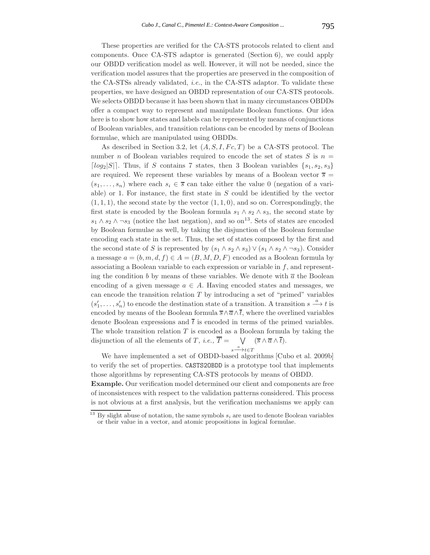These properties are verified for the CA-STS protocols related to client and components. Once CA-STS adaptor is generated (Section 6), we could apply our OBDD verification model as well. However, it will not be needed, since the verification model assures that the properties are preserved in the composition of the CA-STSs already validated, *i.e.*, in the CA-STS adaptor. To validate these properties, we have designed an OBDD representation of our CA-STS protocols. We selects OBDD because it has been shown that in many circumstances OBDDs offer a compact way to represent and manipulate Boolean functions. Our idea here is to show how states and labels can be represented by means of conjunctions of Boolean variables, and transition relations can be encoded by mens of Boolean formulae, which are manipulated using OBDDs.

As described in Section 3.2, let  $(A, S, I, Fc, T)$  be a CA-STS protocol. The number n of Boolean variables required to encode the set of states  $S$  is  $n =$ [ $log_2|S|$ ]. Thus, if S contains 7 states, then 3 Boolean variables  $\{s_1, s_2, s_3\}$ are required. We represent these variables by means of a Boolean vector  $\overline{s}$  =  $(s_1,...,s_n)$  where each  $s_i \in \overline{s}$  can take either the value 0 (negation of a variable) or 1. For instance, the first state in  $S$  could be identified by the vector  $(1, 1, 1)$ , the second state by the vector  $(1, 1, 0)$ , and so on. Correspondingly, the first state is encoded by the Boolean formula  $s_1 \wedge s_2 \wedge s_3$ , the second state by  $s_1 \wedge s_2 \wedge \neg s_3$  (notice the last negation), and so on<sup>13</sup>. Sets of states are encoded by Boolean formulae as well, by taking the disjunction of the Boolean formulae encoding each state in the set. Thus, the set of states composed by the first and the second state of S is represented by  $(s_1 \wedge s_2 \wedge s_3) \vee (s_1 \wedge s_2 \wedge \neg s_3)$ . Consider a message  $a = (b, m, d, f) \in A = (B, M, D, F)$  encoded as a Boolean formula by associating a Boolean variable to each expression or variable in  $f$ , and representing the condition b by means of these variables. We denote with  $\bar{a}$  the Boolean encoding of a given message  $a \in A$ . Having encoded states and messages, we can encode the transition relation  $T$  by introducing a set of "primed" variables  $(s'_1,\ldots,s'_n)$  to encode the destination state of a transition. A transition  $s \stackrel{a}{\longrightarrow} t$  is encoded by means of the Boolean formula  $\overline{s} \wedge \overline{a} \wedge \overline{t}$ , where the overlined variables denote Boolean expressions and  $\overline{t}$  is encoded in terms of the primed variables. The whole transition relation  $T$  is encoded as a Boolean formula by taking the disjunction of all the elements of  $T$ , *i.e.*,  $T = \forall$  $s \xrightarrow{a} t \in T$  $(\overline{s} \wedge \overline{a} \wedge \overline{t}).$ 

We have implemented a set of OBDD-based algorithms [Cubo et al. 2009b] to verify the set of properties. CASTS2OBDD is a prototype tool that implements those algorithms by representing CA-STS protocols by means of OBDD.

**Example.** Our verification model determined our client and components are free of inconsistences with respect to the validation patterns considered. This process is not obvious at a first analysis, but the verification mechanisms we apply can

By slight abuse of notation, the same symbols  $s_i$  are used to denote Boolean variables or their value in a vector, and atomic propositions in logical formulae.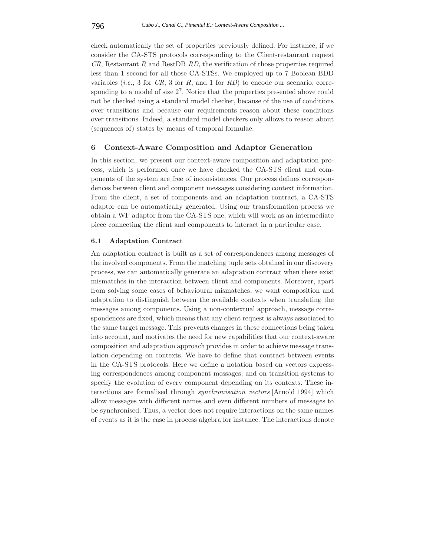check automatically the set of properties previously defined. For instance, if we consider the CA-STS protocols corresponding to the Client-restaurant request *CR*, Restaurant R and RestDB *RD*, the verification of those properties required less than 1 second for all those CA-STSs. We employed up to 7 Boolean BDD variables (*i.e.*, 3 for  $CR$ , 3 for  $R$ , and 1 for  $RD$ ) to encode our scenario, corresponding to a model of size  $2<sup>7</sup>$ . Notice that the properties presented above could not be checked using a standard model checker, because of the use of conditions over transitions and because our requirements reason about these conditions over transitions. Indeed, a standard model checkers only allows to reason about (sequences of) states by means of temporal formulae.

## **6 Context-Aware Composition and Adaptor Generation**

In this section, we present our context-aware composition and adaptation process, which is performed once we have checked the CA-STS client and components of the system are free of inconsistences. Our process defines correspondences between client and component messages considering context information. From the client, a set of components and an adaptation contract, a CA-STS adaptor can be automatically generated. Using our transformation process we obtain a WF adaptor from the CA-STS one, which will work as an intermediate piece connecting the client and components to interact in a particular case.

#### **6.1 Adaptation Contract**

An adaptation contract is built as a set of correspondences among messages of the involved components. From the matching tuple sets obtained in our discovery process, we can automatically generate an adaptation contract when there exist mismatches in the interaction between client and components. Moreover, apart from solving some cases of behavioural mismatches, we want composition and adaptation to distinguish between the available contexts when translating the messages among components. Using a non-contextual approach, message correspondences are fixed, which means that any client request is always associated to the same target message. This prevents changes in these connections being taken into account, and motivates the need for new capabilities that our context-aware composition and adaptation approach provides in order to achieve message translation depending on contexts. We have to define that contract between events in the CA-STS protocols. Here we define a notation based on vectors expressing correspondences among component messages, and on transition systems to specify the evolution of every component depending on its contexts. These interactions are formalised through *synchronisation vectors* [Arnold 1994] which allow messages with different names and even different numbers of messages to be synchronised. Thus, a vector does not require interactions on the same names of events as it is the case in process algebra for instance. The interactions denote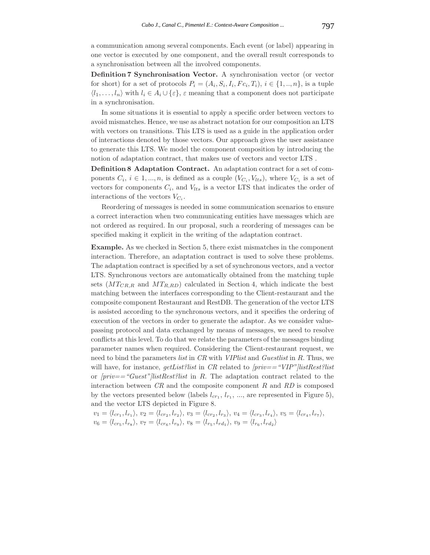a communication among several components. Each event (or label) appearing in one vector is executed by one component, and the overall result corresponds to a synchronisation between all the involved components.

**Definition 7 Synchronisation Vector.** A synchronisation vector (or vector for short) for a set of protocols  $P_i = (A_i, S_i, I_i, Fc_i, T_i), i \in \{1, ..., n\}$ , is a tuple  $\langle l_1,\ldots,l_n\rangle$  with  $l_i \in A_i \cup \{\varepsilon\}, \varepsilon$  meaning that a component does not participate in a synchronisation.

In some situations it is essential to apply a specific order between vectors to avoid mismatches. Hence, we use as abstract notation for our composition an LTS with vectors on transitions. This LTS is used as a guide in the application order of interactions denoted by those vectors. Our approach gives the user assistance to generate this LTS. We model the component composition by introducing the notion of adaptation contract, that makes use of vectors and vector LTS .

**Definition 8 Adaptation Contract.** An adaptation contract for a set of components  $C_i$ ,  $i \in 1, ..., n$ , is defined as a couple  $(V_{C_i}, V_{lts})$ , where  $V_{C_i}$  is a set of vectors for components  $C_i$ , and  $V_{lts}$  is a vector LTS that indicates the order of interactions of the vectors  $V_{C_i}$ .

Reordering of messages is needed in some communication scenarios to ensure a correct interaction when two communicating entities have messages which are not ordered as required. In our proposal, such a reordering of messages can be specified making it explicit in the writing of the adaptation contract.

**Example.** As we checked in Section 5, there exist mismatches in the component interaction. Therefore, an adaptation contract is used to solve these problems. The adaptation contract is specified by a set of synchronous vectors, and a vector LTS. Synchronous vectors are automatically obtained from the matching tuple sets  $(MT_{CR,R}$  and  $MT_{R,RD})$  calculated in Section 4, which indicate the best matching between the interfaces corresponding to the Client-restaurant and the composite component Restaurant and RestDB. The generation of the vector LTS is assisted according to the synchronous vectors, and it specifies the ordering of execution of the vectors in order to generate the adaptor. As we consider valuepassing protocol and data exchanged by means of messages, we need to resolve conflicts at this level. To do that we relate the parameters of the messages binding parameter names when required. Considering the Client-restaurant request, we need to bind the parameters *list* in *CR* with *VIPlist* and *Guestlist* in R. Thus, we will have, for instance, *getList?list* in *CR* related to *[priv=="VIP"]listRest?list* or *[priv=="Guest"]listRest?list* in R. The adaptation contract related to the interaction between *CR* and the composite component R and *RD* is composed by the vectors presented below (labels  $l_{cr_1}, l_{r_1}, ...,$  are represented in Figure 5), and the vector LTS depicted in Figure 8.

$$
v_1 = \langle l_{cr_1}, l_{r_1} \rangle, v_2 = \langle l_{cr_2}, l_{r_2} \rangle, v_3 = \langle l_{cr_2}, l_{r_3} \rangle, v_4 = \langle l_{cr_3}, l_{r_4} \rangle, v_5 = \langle l_{cr_4}, l_{r_7} \rangle, v_6 = \langle l_{cr_5}, l_{r_8} \rangle, v_7 = \langle l_{cr_6}, l_{r_9} \rangle, v_8 = \langle l_{r_5}, l_{rd_1} \rangle, v_9 = \langle l_{r_6}, l_{rd_2} \rangle
$$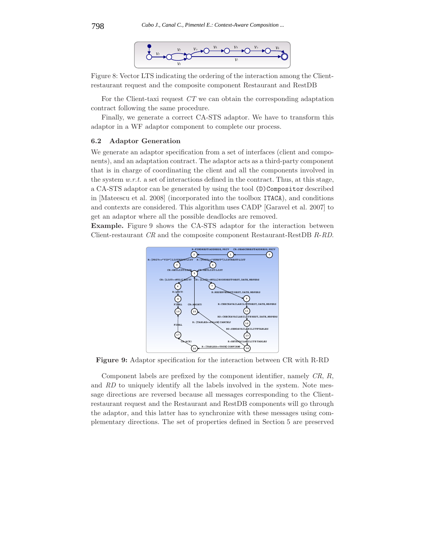

Figure 8: Vector LTS indicating the ordering of the interaction among the Clientrestaurant request and the composite component Restaurant and RestDB

For the Client-taxi request *CT* we can obtain the corresponding adaptation contract following the same procedure.

Finally, we generate a correct CA-STS adaptor. We have to transform this adaptor in a WF adaptor component to complete our process.

### **6.2 Adaptor Generation**

We generate an adaptor specification from a set of interfaces (client and components), and an adaptation contract. The adaptor acts as a third-party component that is in charge of coordinating the client and all the components involved in the system *w.r.t.* a set of interactions defined in the contract. Thus, at this stage, a CA-STS adaptor can be generated by using the tool (D)Compositor described in [Mateescu et al. 2008] (incorporated into the toolbox ITACA), and conditions and contexts are considered. This algorithm uses CADP [Garavel et al. 2007] to get an adaptor where all the possible deadlocks are removed.

**Example.** Figure 9 shows the CA-STS adaptor for the interaction between Client-restaurant *CR* and the composite component Restaurant-RestDB R-*RD*.



**Figure 9:** Adaptor specification for the interaction between CR with R-RD

Component labels are prefixed by the component identifier, namely *CR*, R, and *RD* to uniquely identify all the labels involved in the system. Note message directions are reversed because all messages corresponding to the Clientrestaurant request and the Restaurant and RestDB components will go through the adaptor, and this latter has to synchronize with these messages using complementary directions. The set of properties defined in Section 5 are preserved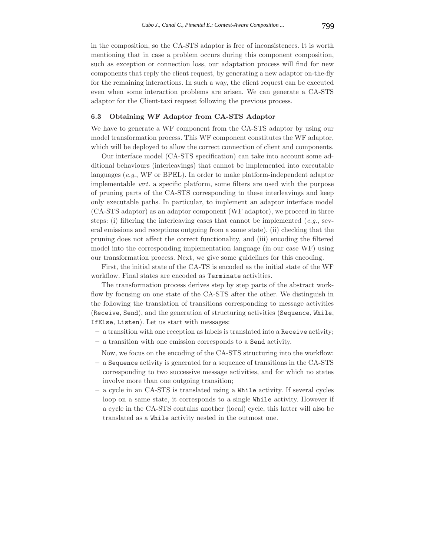in the composition, so the CA-STS adaptor is free of inconsistences. It is worth mentioning that in case a problem occurs during this component composition, such as exception or connection loss, our adaptation process will find for new components that reply the client request, by generating a new adaptor on-the-fly for the remaining interactions. In such a way, the client request can be executed even when some interaction problems are arisen. We can generate a CA-STS adaptor for the Client-taxi request following the previous process.

# **6.3 Obtaining WF Adaptor from CA-STS Adaptor**

We have to generate a WF component from the CA-STS adaptor by using our model transformation process. This WF component constitutes the WF adaptor, which will be deployed to allow the correct connection of client and components.

Our interface model (CA-STS specification) can take into account some additional behaviours (interleavings) that cannot be implemented into executable languages (*e.g.*, WF or BPEL). In order to make platform-independent adaptor implementable *wrt.* a specific platform, some filters are used with the purpose of pruning parts of the CA-STS corresponding to these interleavings and keep only executable paths. In particular, to implement an adaptor interface model (CA-STS adaptor) as an adaptor component (WF adaptor), we proceed in three steps: (i) filtering the interleaving cases that cannot be implemented (*e.g.*, several emissions and receptions outgoing from a same state), (ii) checking that the pruning does not affect the correct functionality, and (iii) encoding the filtered model into the corresponding implementation language (in our case WF) using our transformation process. Next, we give some guidelines for this encoding.

First, the initial state of the CA-TS is encoded as the initial state of the WF workflow. Final states are encoded as Terminate activities.

The transformation process derives step by step parts of the abstract workflow by focusing on one state of the CA-STS after the other. We distinguish in the following the translation of transitions corresponding to message activities (Receive, Send), and the generation of structuring activities (Sequence, While, IfElse, Listen). Let us start with messages:

- **–** a transition with one reception as labels is translated into a Receive activity;
- **–** a transition with one emission corresponds to a Send activity.

Now, we focus on the encoding of the CA-STS structuring into the workflow:

- **–** a Sequence activity is generated for a sequence of transitions in the CA-STS corresponding to two successive message activities, and for which no states involve more than one outgoing transition;
- **–** a cycle in an CA-STS is translated using a While activity. If several cycles loop on a same state, it corresponds to a single While activity. However if a cycle in the CA-STS contains another (local) cycle, this latter will also be translated as a While activity nested in the outmost one.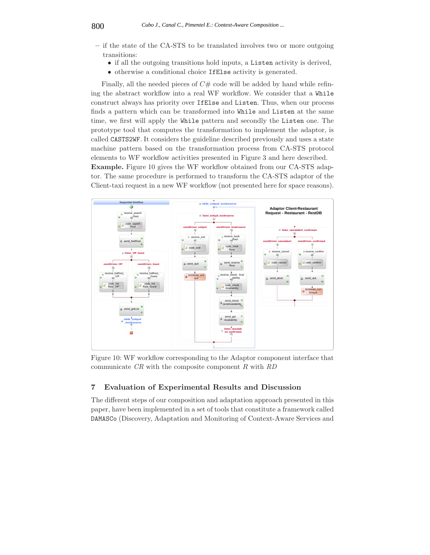- **–** if the state of the CA-STS to be translated involves two or more outgoing transitions:
	- if all the outgoing transitions hold inputs, a Listen activity is derived,
	- otherwise a conditional choice IfElse activity is generated.

Finally, all the needed pieces of  $C#$  code will be added by hand while refining the abstract workflow into a real WF workflow. We consider that a While construct always has priority over IfElse and Listen. Thus, when our process finds a pattern which can be transformed into While and Listen at the same time, we first will apply the While pattern and secondly the Listen one. The prototype tool that computes the transformation to implement the adaptor, is called CASTS2WF. It considers the guideline described previously and uses a state machine pattern based on the transformation process from CA-STS protocol elements to WF workflow activities presented in Figure 3 and here described. **Example.** Figure 10 gives the WF workflow obtained from our CA-STS adap-

tor. The same procedure is performed to transform the CA-STS adaptor of the Client-taxi request in a new WF workflow (not presented here for space reasons).



Figure 10: WF workflow corresponding to the Adaptor component interface that communicate *CR* with the composite component R with *RD*

# **7 Evaluation of Experimental Results and Discussion**

The different steps of our composition and adaptation approach presented in this paper, have been implemented in a set of tools that constitute a framework called DAMASCo (Discovery, Adaptation and Monitoring of Context-Aware Services and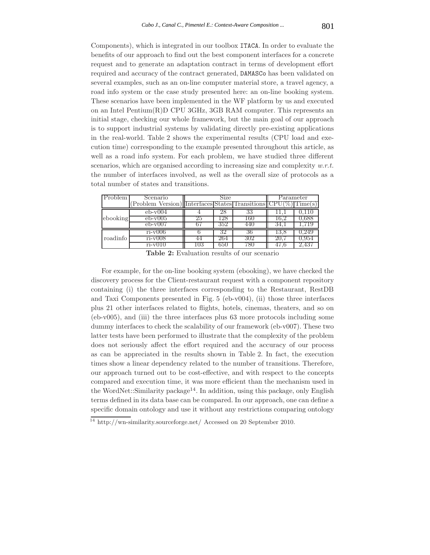Components), which is integrated in our toolbox ITACA. In order to evaluate the benefits of our approach to find out the best component interfaces for a concrete request and to generate an adaptation contract in terms of development effort required and accuracy of the contract generated, DAMASCo has been validated on several examples, such as an on-line computer material store, a travel agency, a road info system or the case study presented here: an on-line booking system. These scenarios have been implemented in the WF platform by us and executed on an Intel Pentium(R)D CPU 3GHz, 3GB RAM computer. This represents an initial stage, checking our whole framework, but the main goal of our approach is to support industrial systems by validating directly pre-existing applications in the real-world. Table 2 shows the experimental results (CPU load and execution time) corresponding to the example presented throughout this article, as well as a road info system. For each problem, we have studied three different scenarios, which are organised according to increasing size and complexity *w.r.t.* the number of interfaces involved, as well as the overall size of protocols as a total number of states and transitions.

| Problem  | Scenario                           | Size |      |     | Parameter |                  |
|----------|------------------------------------|------|------|-----|-----------|------------------|
|          | Problem Version) Transitions CPU(% |      |      |     |           | $\text{Time}(s)$ |
|          | $eb-v004$                          |      | 28   | 33  |           |                  |
| ebooking | $eb-v005$                          | 25   | '28' | 160 |           | J.688            |
|          | $eb-v007$                          |      | 352  |     |           |                  |
|          | $ri-v006$                          |      |      |     |           |                  |
| roadinfo | $ri-v008$                          |      | 264  |     |           | J.YƏ4            |
|          | $r1-v111$                          | U3   | DGG. |     |           |                  |

**Table 2:** Evaluation results of our scenario

For example, for the on-line booking system (ebooking), we have checked the discovery process for the Client-restaurant request with a component repository containing (i) the three interfaces corresponding to the Restaurant, RestDB and Taxi Components presented in Fig. 5 (eb-v004), (ii) those three interfaces plus 21 other interfaces related to flights, hotels, cinemas, theaters, and so on  $(eb-v005)$ , and (iii) the three interfaces plus 63 more protocols including some dummy interfaces to check the scalability of our framework (eb-v007). These two latter tests have been performed to illustrate that the complexity of the problem does not seriously affect the effort required and the accuracy of our process as can be appreciated in the results shown in Table 2. In fact, the execution times show a linear dependency related to the number of transitions. Therefore, our approach turned out to be cost-effective, and with respect to the concepts compared and execution time, it was more efficient than the mechanism used in the WordNet::Similarity package<sup>14</sup>. In addition, using this package, only English terms defined in its data base can be compared. In our approach, one can define a specific domain ontology and use it without any restrictions comparing ontology

<sup>14</sup> http://wn-similarity.sourceforge.net/ Accessed on 20 September 2010.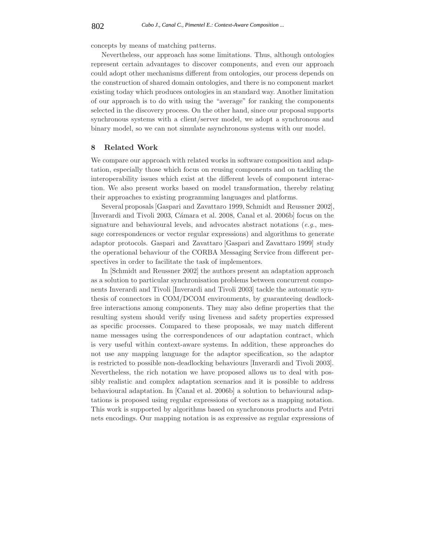concepts by means of matching patterns.

Nevertheless, our approach has some limitations. Thus, although ontologies represent certain advantages to discover components, and even our approach could adopt other mechanisms different from ontologies, our process depends on the construction of shared domain ontologies, and there is no component market existing today which produces ontologies in an standard way. Another limitation of our approach is to do with using the "average" for ranking the components selected in the discovery process. On the other hand, since our proposal supports synchronous systems with a client/server model, we adopt a synchronous and binary model, so we can not simulate asynchronous systems with our model.

## **8 Related Work**

We compare our approach with related works in software composition and adaptation, especially those which focus on reusing components and on tackling the interoperability issues which exist at the different levels of component interaction. We also present works based on model transformation, thereby relating their approaches to existing programming languages and platforms.

Several proposals [Gaspari and Zavattaro 1999, Schmidt and Reussner 2002], [Inverardi and Tivoli 2003, Cámara et al. 2008, Canal et al. 2006b] focus on the signature and behavioural levels, and advocates abstract notations (*e.g.*, message correspondences or vector regular expressions) and algorithms to generate adaptor protocols. Gaspari and Zavattaro [Gaspari and Zavattaro 1999] study the operational behaviour of the CORBA Messaging Service from different perspectives in order to facilitate the task of implementors.

In [Schmidt and Reussner 2002] the authors present an adaptation approach as a solution to particular synchronisation problems between concurrent components Inverardi and Tivoli [Inverardi and Tivoli 2003] tackle the automatic synthesis of connectors in COM/DCOM environments, by guaranteeing deadlockfree interactions among components. They may also define properties that the resulting system should verify using liveness and safety properties expressed as specific processes. Compared to these proposals, we may match different name messages using the correspondences of our adaptation contract, which is very useful within context-aware systems. In addition, these approaches do not use any mapping language for the adaptor specification, so the adaptor is restricted to possible non-deadlocking behaviours [Inverardi and Tivoli 2003]. Nevertheless, the rich notation we have proposed allows us to deal with possibly realistic and complex adaptation scenarios and it is possible to address behavioural adaptation. In [Canal et al. 2006b] a solution to behavioural adaptations is proposed using regular expressions of vectors as a mapping notation. This work is supported by algorithms based on synchronous products and Petri nets encodings. Our mapping notation is as expressive as regular expressions of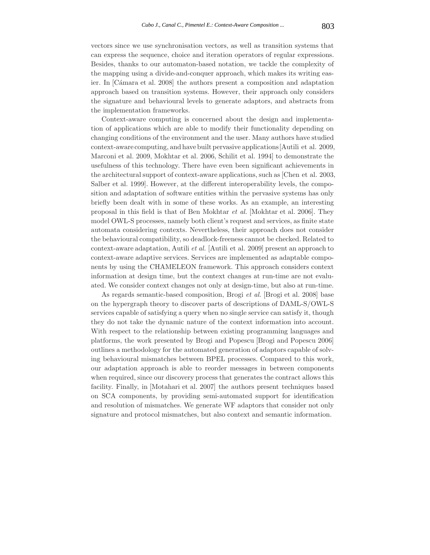vectors since we use synchronisation vectors, as well as transition systems that can express the sequence, choice and iteration operators of regular expressions. Besides, thanks to our automaton-based notation, we tackle the complexity of the mapping using a divide-and-conquer approach, which makes its writing easier. In [C´amara et al. 2008] the authors present a composition and adaptation approach based on transition systems. However, their approach only considers the signature and behavioural levels to generate adaptors, and abstracts from the implementation frameworks.

Context-aware computing is concerned about the design and implementation of applications which are able to modify their functionality depending on changing conditions of the environment and the user. Many authors have studied context-aware computing, and have built pervasive applications[Autili et al. 2009, Marconi et al. 2009, Mokhtar et al. 2006, Schilit et al. 1994] to demonstrate the usefulness of this technology. There have even been significant achievements in the architectural support of context-aware applications, such as [Chen et al. 2003, Salber et al. 1999]. However, at the different interoperability levels, the composition and adaptation of software entities within the pervasive systems has only briefly been dealt with in some of these works. As an example, an interesting proposal in this field is that of Ben Mokhtar *et al.* [Mokhtar et al. 2006]. They model OWL-S processes, namely both client's request and services, as finite state automata considering contexts. Nevertheless, their approach does not consider the behavioural compatibility, so deadlock-freeness cannot be checked. Related to context-aware adaptation, Autili *et al.* [Autili et al. 2009] present an approach to context-aware adaptive services. Services are implemented as adaptable components by using the CHAMELEON framework. This approach considers context information at design time, but the context changes at run-time are not evaluated. We consider context changes not only at design-time, but also at run-time.

As regards semantic-based composition, Brogi *et al.* [Brogi et al. 2008] base on the hypergraph theory to discover parts of descriptions of DAML-S/OWL-S services capable of satisfying a query when no single service can satisfy it, though they do not take the dynamic nature of the context information into account. With respect to the relationship between existing programming languages and platforms, the work presented by Brogi and Popescu [Brogi and Popescu 2006] outlines a methodology for the automated generation of adaptors capable of solving behavioural mismatches between BPEL processes. Compared to this work, our adaptation approach is able to reorder messages in between components when required, since our discovery process that generates the contract allows this facility. Finally, in [Motahari et al. 2007] the authors present techniques based on SCA components, by providing semi-automated support for identification and resolution of mismatches. We generate WF adaptors that consider not only signature and protocol mismatches, but also context and semantic information.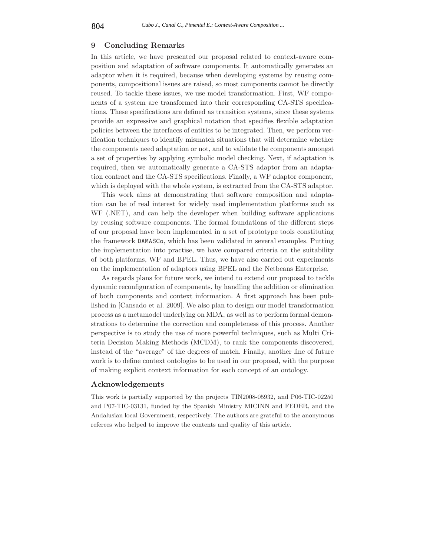## **9 Concluding Remarks**

In this article, we have presented our proposal related to context-aware composition and adaptation of software components. It automatically generates an adaptor when it is required, because when developing systems by reusing components, compositional issues are raised, so most components cannot be directly reused. To tackle these issues, we use model transformation. First, WF components of a system are transformed into their corresponding CA-STS specifications. These specifications are defined as transition systems, since these systems provide an expressive and graphical notation that specifies flexible adaptation policies between the interfaces of entities to be integrated. Then, we perform verification techniques to identify mismatch situations that will determine whether the components need adaptation or not, and to validate the components amongst a set of properties by applying symbolic model checking. Next, if adaptation is required, then we automatically generate a CA-STS adaptor from an adaptation contract and the CA-STS specifications. Finally, a WF adaptor component, which is deployed with the whole system, is extracted from the CA-STS adaptor.

This work aims at demonstrating that software composition and adaptation can be of real interest for widely used implementation platforms such as WF (.NET), and can help the developer when building software applications by reusing software components. The formal foundations of the different steps of our proposal have been implemented in a set of prototype tools constituting the framework DAMASCo, which has been validated in several examples. Putting the implementation into practise, we have compared criteria on the suitability of both platforms, WF and BPEL. Thus, we have also carried out experiments on the implementation of adaptors using BPEL and the Netbeans Enterprise.

As regards plans for future work, we intend to extend our proposal to tackle dynamic reconfiguration of components, by handling the addition or elimination of both components and context information. A first approach has been published in [Cansado et al. 2009]. We also plan to design our model transformation process as a metamodel underlying on MDA, as well as to perform formal demonstrations to determine the correction and completeness of this process. Another perspective is to study the use of more powerful techniques, such as Multi Criteria Decision Making Methods (MCDM), to rank the components discovered, instead of the "average" of the degrees of match. Finally, another line of future work is to define context ontologies to be used in our proposal, with the purpose of making explicit context information for each concept of an ontology.

## **Acknowledgements**

This work is partially supported by the projects TIN2008-05932, and P06-TIC-02250 and P07-TIC-03131, funded by the Spanish Ministry MICINN and FEDER, and the Andalusian local Government, respectively. The authors are grateful to the anonymous referees who helped to improve the contents and quality of this article.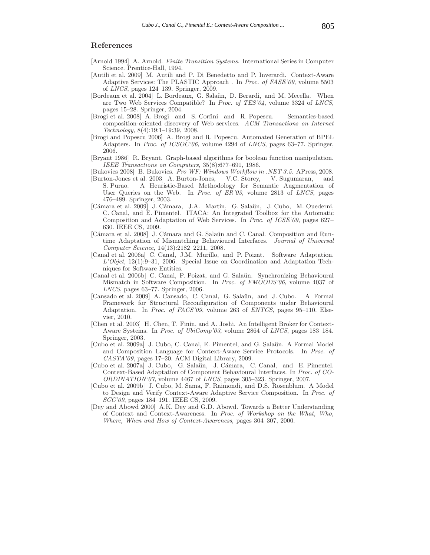# **References**

- [Arnold 1994] A. Arnold. *Finite Transition Systems*. International Series in Computer Science. Prentice-Hall, 1994.
- [Autili et al. 2009] M. Autili and P. Di Benedetto and P. Inverardi. Context-Aware Adaptive Services: The PLASTIC Approach . In *Proc. of FASE'09*, volume 5503 of *LNCS*, pages 124–139. Springer, 2009.
- [Bordeaux et al. 2004] L. Bordeaux, G. Salaün, D. Berardi, and M. Mecella. When are Two Web Services Compatible? In *Proc. of TES'04*, volume 3324 of *LNCS*, pages 15–28. Springer, 2004.
- [Brogi et al. 2008] A. Brogi and S. Corfini and R. Popescu. Semantics-based composition-oriented discovery of Web services. *ACM Transactions on Internet Technology*, 8(4):19:1–19:39, 2008.
- [Brogi and Popescu 2006] A. Brogi and R. Popescu. Automated Generation of BPEL Adapters. In *Proc. of ICSOC'06*, volume 4294 of *LNCS*, pages 63–77. Springer, 2006.
- [Bryant 1986] R. Bryant. Graph-based algorithms for boolean function manipulation. *IEEE Transactions on Computers*, 35(8):677–691, 1986.
- [Bukovics 2008] B. Bukovics. *Pro WF: Windows Workflow in .NET 3.5*. APress, 2008.
- [Burton-Jones et al. 2003] A. Burton-Jones, V.C. Storey, V. Sugumaran, and S. Purao. A Heuristic-Based Methodology for Semantic Augmentation of User Queries on the Web. In *Proc. of ER'03*, volume 2813 of *LNCS*, pages 476–489. Springer, 2003.
- [Cámara et al. 2009] J. Cámara, J.A. Martín, G. Salaün, J. Cubo, M. Ouederni, C. Canal, and E. Pimentel. ITACA: An Integrated Toolbox for the Automatic Composition and Adaptation of Web Services. In *Proc. of ICSE'09*, pages 627– 630. IEEE CS, 2009.
- [Cámara et al. 2008] J. Cámara and G. Salaün and C. Canal. Composition and Runtime Adaptation of Mismatching Behavioural Interfaces. *Journal of Universal Computer Science*, 14(13):2182–2211, 2008.
- [Canal et al. 2006a] C. Canal, J.M. Murillo, and P. Poizat. Software Adaptation. *L'Objet*, 12(1):9–31, 2006. Special Issue on Coordination and Adaptation Techniques for Software Entities.
- [Canal et al. 2006b] C. Canal, P. Poizat, and G. Salaün. Synchronizing Behavioural Mismatch in Software Composition. In *Proc. of FMOODS'06*, volume 4037 of *LNCS*, pages 63–77. Springer, 2006.
- [Cansado et al. 2009] A. Cansado, C. Canal, G. Salaün, and J. Cubo. A Formal Framework for Structural Reconfiguration of Components under Behavioural Adaptation. In *Proc. of FACS'09*, volume 263 of *ENTCS*, pages 95–110. Elsevier, 2010.
- [Chen et al. 2003] H. Chen, T. Finin, and A. Joshi. An Intelligent Broker for Context-Aware Systems. In *Proc. of UbiComp'03*, volume 2864 of *LNCS*, pages 183–184. Springer, 2003.
- [Cubo et al. 2009a] J. Cubo, C. Canal, E. Pimentel, and G. Salaün. A Formal Model and Composition Language for Context-Aware Service Protocols. In *Proc. of CASTA'09*, pages 17–20. ACM Digital Library, 2009.
- [Cubo et al. 2007a] J. Cubo, G. Salaün, J. Cámara, C. Canal, and E. Pimentel. Context-Based Adaptation of Component Behavioural Interfaces. In *Proc. of CO-ORDINATION'07*, volume 4467 of *LNCS*, pages 305–323. Springer, 2007.
- [Cubo et al. 2009b] J. Cubo, M. Sama, F. Raimondi, and D.S. Rosenblum. A Model to Design and Verify Context-Aware Adaptive Service Composition. In *Proc. of SCC'09*, pages 184–191. IEEE CS, 2009.
- [Dey and Abowd 2000] A.K. Dey and G.D. Abowd. Towards a Better Understanding of Context and Context-Awareness. In *Proc. of Workshop on the What, Who, Where, When and How of Context-Awareness*, pages 304–307, 2000.